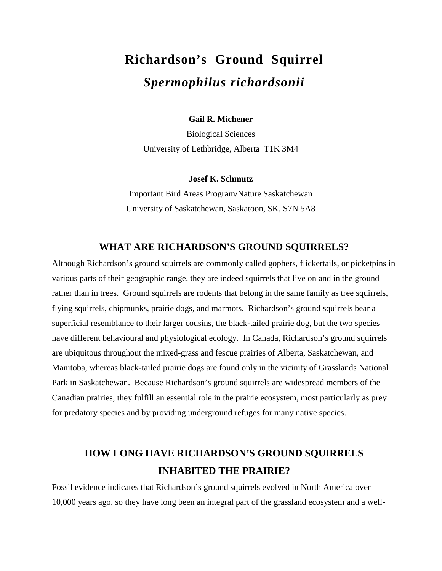# **Richardson's Ground Squirrel**  *Spermophilus richardsonii*

**Gail R. Michener** 

Biological Sciences University of Lethbridge, Alberta T1K 3M4

#### **Josef K. Schmutz**

Important Bird Areas Program/Nature Saskatchewan University of Saskatchewan, Saskatoon, SK, S7N 5A8

### **WHAT ARE RICHARDSON'S GROUND SQUIRRELS?**

Although Richardson's ground squirrels are commonly called gophers, flickertails, or picketpins in various parts of their geographic range, they are indeed squirrels that live on and in the ground rather than in trees. Ground squirrels are rodents that belong in the same family as tree squirrels, flying squirrels, chipmunks, prairie dogs, and marmots. Richardson's ground squirrels bear a superficial resemblance to their larger cousins, the black-tailed prairie dog, but the two species have different behavioural and physiological ecology. In Canada, Richardson's ground squirrels are ubiquitous throughout the mixed-grass and fescue prairies of Alberta, Saskatchewan, and Manitoba, whereas black-tailed prairie dogs are found only in the vicinity of Grasslands National Park in Saskatchewan. Because Richardson's ground squirrels are widespread members of the Canadian prairies, they fulfill an essential role in the prairie ecosystem, most particularly as prey for predatory species and by providing underground refuges for many native species.

# **HOW LONG HAVE RICHARDSON'S GROUND SQUIRRELS INHABITED THE PRAIRIE?**

Fossil evidence indicates that Richardson's ground squirrels evolved in North America over 10,000 years ago, so they have long been an integral part of the grassland ecosystem and a well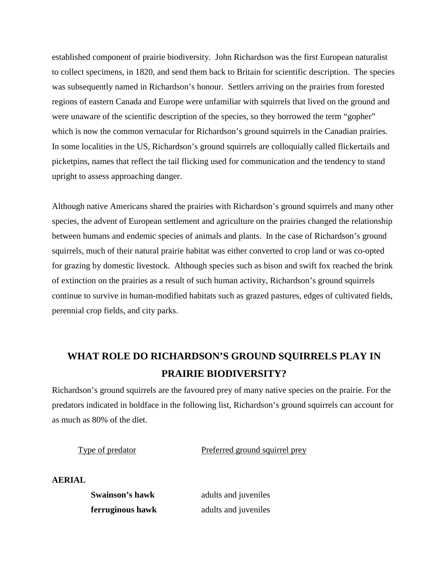established component of prairie biodiversity. John Richardson was the first European naturalist to collect specimens, in 1820, and send them back to Britain for scientific description. The species was subsequently named in Richardson's honour. Settlers arriving on the prairies from forested regions of eastern Canada and Europe were unfamiliar with squirrels that lived on the ground and were unaware of the scientific description of the species, so they borrowed the term "gopher" which is now the common vernacular for Richardson's ground squirrels in the Canadian prairies. In some localities in the US, Richardson's ground squirrels are colloquially called flickertails and picketpins, names that reflect the tail flicking used for communication and the tendency to stand upright to assess approaching danger.

Although native Americans shared the prairies with Richardson's ground squirrels and many other species, the advent of European settlement and agriculture on the prairies changed the relationship between humans and endemic species of animals and plants. In the case of Richardson's ground squirrels, much of their natural prairie habitat was either converted to crop land or was co-opted for grazing by domestic livestock. Although species such as bison and swift fox reached the brink of extinction on the prairies as a result of such human activity, Richardson's ground squirrels continue to survive in human-modified habitats such as grazed pastures, edges of cultivated fields, perennial crop fields, and city parks.

# **WHAT ROLE DO RICHARDSON'S GROUND SQUIRRELS PLAY IN PRAIRIE BIODIVERSITY?**

Richardson's ground squirrels are the favoured prey of many native species on the prairie. For the predators indicated in boldface in the following list, Richardson's ground squirrels can account for as much as 80% of the diet.

Type of predator Preferred ground squirrel prey

**AERIAL** 

**Swainson's hawk** adults and juveniles **ferruginous hawk** adults and juveniles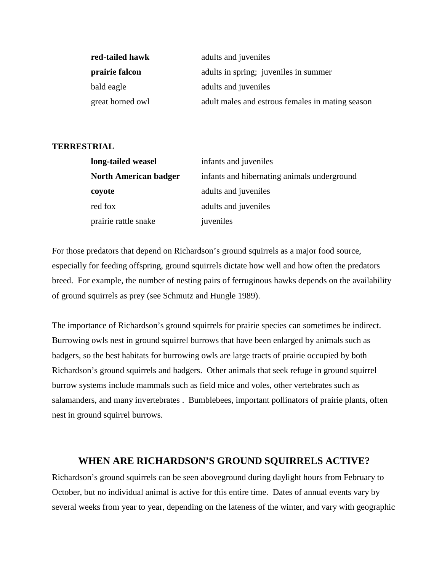| red-tailed hawk  | adults and <i>juveniles</i>                      |
|------------------|--------------------------------------------------|
| prairie falcon   | adults in spring; juveniles in summer            |
| bald eagle       | adults and <i>juveniles</i>                      |
| great horned owl | adult males and estrous females in mating season |

#### **TERRESTRIAL**

| long-tailed weasel           | infants and juveniles                       |  |
|------------------------------|---------------------------------------------|--|
| <b>North American badger</b> | infants and hibernating animals underground |  |
| coyote                       | adults and juveniles                        |  |
| red fox                      | adults and juveniles                        |  |
| prairie rattle snake         | juveniles                                   |  |

For those predators that depend on Richardson's ground squirrels as a major food source, especially for feeding offspring, ground squirrels dictate how well and how often the predators breed. For example, the number of nesting pairs of ferruginous hawks depends on the availability of ground squirrels as prey (see Schmutz and Hungle 1989).

The importance of Richardson's ground squirrels for prairie species can sometimes be indirect. Burrowing owls nest in ground squirrel burrows that have been enlarged by animals such as badgers, so the best habitats for burrowing owls are large tracts of prairie occupied by both Richardson's ground squirrels and badgers. Other animals that seek refuge in ground squirrel burrow systems include mammals such as field mice and voles, other vertebrates such as salamanders, and many invertebrates . Bumblebees, important pollinators of prairie plants, often nest in ground squirrel burrows.

### **WHEN ARE RICHARDSON'S GROUND SQUIRRELS ACTIVE?**

Richardson's ground squirrels can be seen aboveground during daylight hours from February to October, but no individual animal is active for this entire time. Dates of annual events vary by several weeks from year to year, depending on the lateness of the winter, and vary with geographic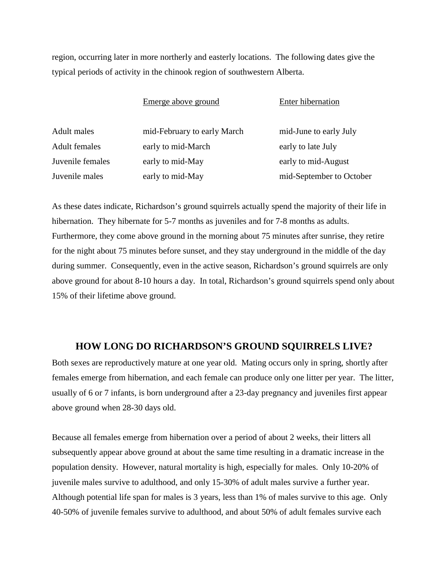region, occurring later in more northerly and easterly locations. The following dates give the typical periods of activity in the chinook region of southwestern Alberta.

|                      | Emerge above ground         | Enter hibernation        |
|----------------------|-----------------------------|--------------------------|
| <b>Adult</b> males   | mid-February to early March | mid-June to early July   |
| <b>Adult females</b> | early to mid-March          | early to late July       |
| Juvenile females     | early to mid-May            | early to mid-August      |
| Juvenile males       | early to mid-May            | mid-September to October |

As these dates indicate, Richardson's ground squirrels actually spend the majority of their life in hibernation. They hibernate for 5-7 months as juveniles and for 7-8 months as adults. Furthermore, they come above ground in the morning about 75 minutes after sunrise, they retire for the night about 75 minutes before sunset, and they stay underground in the middle of the day during summer. Consequently, even in the active season, Richardson's ground squirrels are only above ground for about 8-10 hours a day. In total, Richardson's ground squirrels spend only about 15% of their lifetime above ground.

## **HOW LONG DO RICHARDSON'S GROUND SQUIRRELS LIVE?**

Both sexes are reproductively mature at one year old. Mating occurs only in spring, shortly after females emerge from hibernation, and each female can produce only one litter per year. The litter, usually of 6 or 7 infants, is born underground after a 23-day pregnancy and juveniles first appear above ground when 28-30 days old.

Because all females emerge from hibernation over a period of about 2 weeks, their litters all subsequently appear above ground at about the same time resulting in a dramatic increase in the population density. However, natural mortality is high, especially for males. Only 10-20% of juvenile males survive to adulthood, and only 15-30% of adult males survive a further year. Although potential life span for males is 3 years, less than 1% of males survive to this age. Only 40-50% of juvenile females survive to adulthood, and about 50% of adult females survive each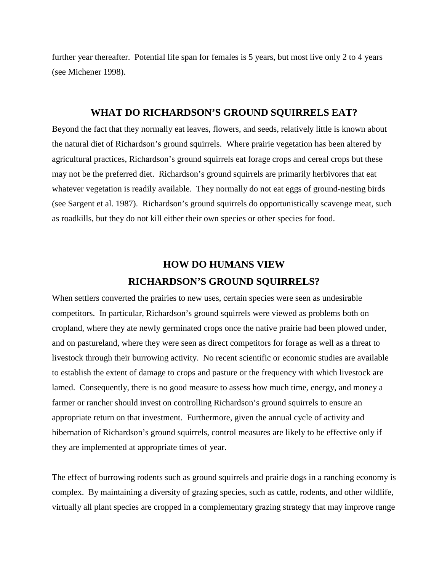further year thereafter. Potential life span for females is 5 years, but most live only 2 to 4 years (see Michener 1998).

### **WHAT DO RICHARDSON'S GROUND SQUIRRELS EAT?**

Beyond the fact that they normally eat leaves, flowers, and seeds, relatively little is known about the natural diet of Richardson's ground squirrels. Where prairie vegetation has been altered by agricultural practices, Richardson's ground squirrels eat forage crops and cereal crops but these may not be the preferred diet. Richardson's ground squirrels are primarily herbivores that eat whatever vegetation is readily available. They normally do not eat eggs of ground-nesting birds (see Sargent et al. 1987). Richardson's ground squirrels do opportunistically scavenge meat, such as roadkills, but they do not kill either their own species or other species for food.

# **HOW DO HUMANS VIEW RICHARDSON'S GROUND SQUIRRELS?**

When settlers converted the prairies to new uses, certain species were seen as undesirable competitors. In particular, Richardson's ground squirrels were viewed as problems both on cropland, where they ate newly germinated crops once the native prairie had been plowed under, and on pastureland, where they were seen as direct competitors for forage as well as a threat to livestock through their burrowing activity. No recent scientific or economic studies are available to establish the extent of damage to crops and pasture or the frequency with which livestock are lamed. Consequently, there is no good measure to assess how much time, energy, and money a farmer or rancher should invest on controlling Richardson's ground squirrels to ensure an appropriate return on that investment. Furthermore, given the annual cycle of activity and hibernation of Richardson's ground squirrels, control measures are likely to be effective only if they are implemented at appropriate times of year.

The effect of burrowing rodents such as ground squirrels and prairie dogs in a ranching economy is complex. By maintaining a diversity of grazing species, such as cattle, rodents, and other wildlife, virtually all plant species are cropped in a complementary grazing strategy that may improve range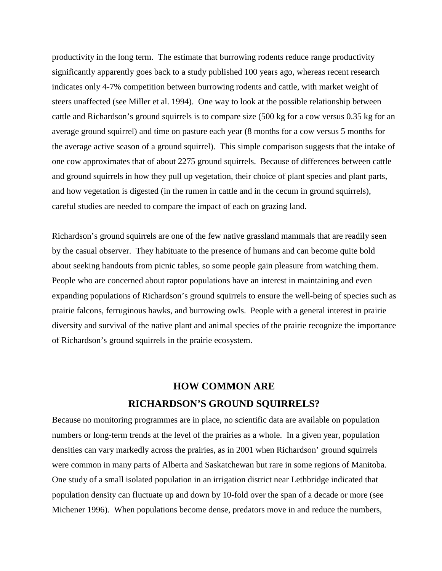productivity in the long term. The estimate that burrowing rodents reduce range productivity significantly apparently goes back to a study published 100 years ago, whereas recent research indicates only 4-7% competition between burrowing rodents and cattle, with market weight of steers unaffected (see Miller et al. 1994). One way to look at the possible relationship between cattle and Richardson's ground squirrels is to compare size (500 kg for a cow versus 0.35 kg for an average ground squirrel) and time on pasture each year (8 months for a cow versus 5 months for the average active season of a ground squirrel). This simple comparison suggests that the intake of one cow approximates that of about 2275 ground squirrels. Because of differences between cattle and ground squirrels in how they pull up vegetation, their choice of plant species and plant parts, and how vegetation is digested (in the rumen in cattle and in the cecum in ground squirrels), careful studies are needed to compare the impact of each on grazing land.

Richardson's ground squirrels are one of the few native grassland mammals that are readily seen by the casual observer. They habituate to the presence of humans and can become quite bold about seeking handouts from picnic tables, so some people gain pleasure from watching them. People who are concerned about raptor populations have an interest in maintaining and even expanding populations of Richardson's ground squirrels to ensure the well-being of species such as prairie falcons, ferruginous hawks, and burrowing owls. People with a general interest in prairie diversity and survival of the native plant and animal species of the prairie recognize the importance of Richardson's ground squirrels in the prairie ecosystem.

# **HOW COMMON ARE RICHARDSON'S GROUND SQUIRRELS?**

Because no monitoring programmes are in place, no scientific data are available on population numbers or long-term trends at the level of the prairies as a whole. In a given year, population densities can vary markedly across the prairies, as in 2001 when Richardson' ground squirrels were common in many parts of Alberta and Saskatchewan but rare in some regions of Manitoba. One study of a small isolated population in an irrigation district near Lethbridge indicated that population density can fluctuate up and down by 10-fold over the span of a decade or more (see Michener 1996). When populations become dense, predators move in and reduce the numbers,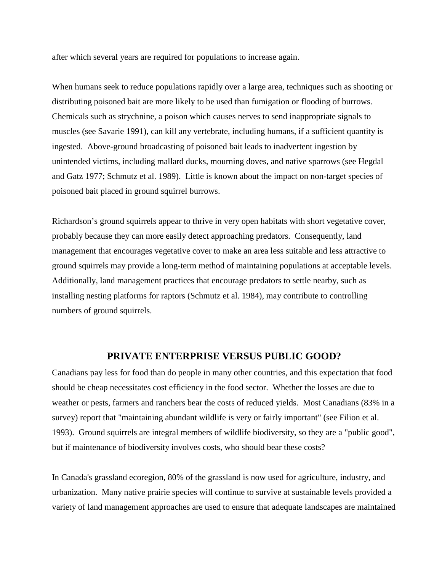after which several years are required for populations to increase again.

When humans seek to reduce populations rapidly over a large area, techniques such as shooting or distributing poisoned bait are more likely to be used than fumigation or flooding of burrows. Chemicals such as strychnine, a poison which causes nerves to send inappropriate signals to muscles (see Savarie 1991), can kill any vertebrate, including humans, if a sufficient quantity is ingested. Above-ground broadcasting of poisoned bait leads to inadvertent ingestion by unintended victims, including mallard ducks, mourning doves, and native sparrows (see Hegdal and Gatz 1977; Schmutz et al. 1989). Little is known about the impact on non-target species of poisoned bait placed in ground squirrel burrows.

Richardson's ground squirrels appear to thrive in very open habitats with short vegetative cover, probably because they can more easily detect approaching predators. Consequently, land management that encourages vegetative cover to make an area less suitable and less attractive to ground squirrels may provide a long-term method of maintaining populations at acceptable levels. Additionally, land management practices that encourage predators to settle nearby, such as installing nesting platforms for raptors (Schmutz et al. 1984), may contribute to controlling numbers of ground squirrels.

### **PRIVATE ENTERPRISE VERSUS PUBLIC GOOD?**

Canadians pay less for food than do people in many other countries, and this expectation that food should be cheap necessitates cost efficiency in the food sector. Whether the losses are due to weather or pests, farmers and ranchers bear the costs of reduced yields. Most Canadians (83% in a survey) report that "maintaining abundant wildlife is very or fairly important" (see Filion et al. 1993). Ground squirrels are integral members of wildlife biodiversity, so they are a "public good", but if maintenance of biodiversity involves costs, who should bear these costs?

In Canada's grassland ecoregion, 80% of the grassland is now used for agriculture, industry, and urbanization. Many native prairie species will continue to survive at sustainable levels provided a variety of land management approaches are used to ensure that adequate landscapes are maintained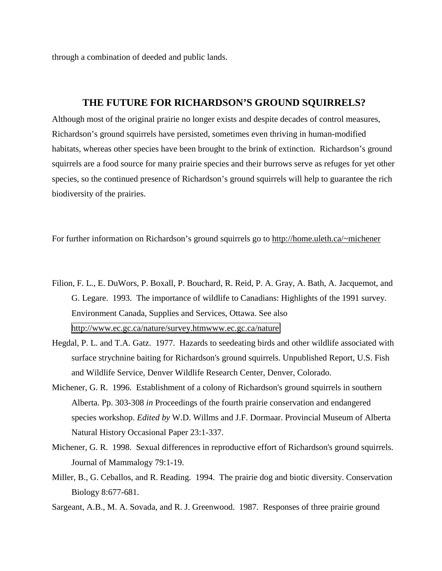through a combination of deeded and public lands.

#### **THE FUTURE FOR RICHARDSON'S GROUND SQUIRRELS?**

Although most of the original prairie no longer exists and despite decades of control measures, Richardson's ground squirrels have persisted, sometimes even thriving in human-modified habitats, whereas other species have been brought to the brink of extinction. Richardson's ground squirrels are a food source for many prairie species and their burrows serve as refuges for yet other species, so the continued presence of Richardson's ground squirrels will help to guarantee the rich biodiversity of the prairies.

For further information on Richardson's ground squirrels go to http://home.uleth.ca/~michener

- Filion, F. L., E. DuWors, P. Boxall, P. Bouchard, R. Reid, P. A. Gray, A. Bath, A. Jacquemot, and G. Legare. 1993. The importance of wildlife to Canadians: Highlights of the 1991 survey. Environment Canada, Supplies and Services, Ottawa. See also <http://www.ec.gc.ca/nature/survey.htmwww.ec.gc.ca/nature>
- Hegdal, P. L. and T.A. Gatz. 1977. Hazards to seedeating birds and other wildlife associated with surface strychnine baiting for Richardson's ground squirrels. Unpublished Report, U.S. Fish and Wildlife Service, Denver Wildlife Research Center, Denver, Colorado.
- Michener, G. R. 1996. Establishment of a colony of Richardson's ground squirrels in southern Alberta. Pp. 303-308 *in* Proceedings of the fourth prairie conservation and endangered species workshop. *Edited by* W.D. Willms and J.F. Dormaar. Provincial Museum of Alberta Natural History Occasional Paper 23:1-337.
- Michener, G. R. 1998. Sexual differences in reproductive effort of Richardson's ground squirrels. Journal of Mammalogy 79:1-19.
- Miller, B., G. Ceballos, and R. Reading. 1994. The prairie dog and biotic diversity. Conservation Biology 8:677-681.
- Sargeant, A.B., M. A. Sovada, and R. J. Greenwood. 1987. Responses of three prairie ground